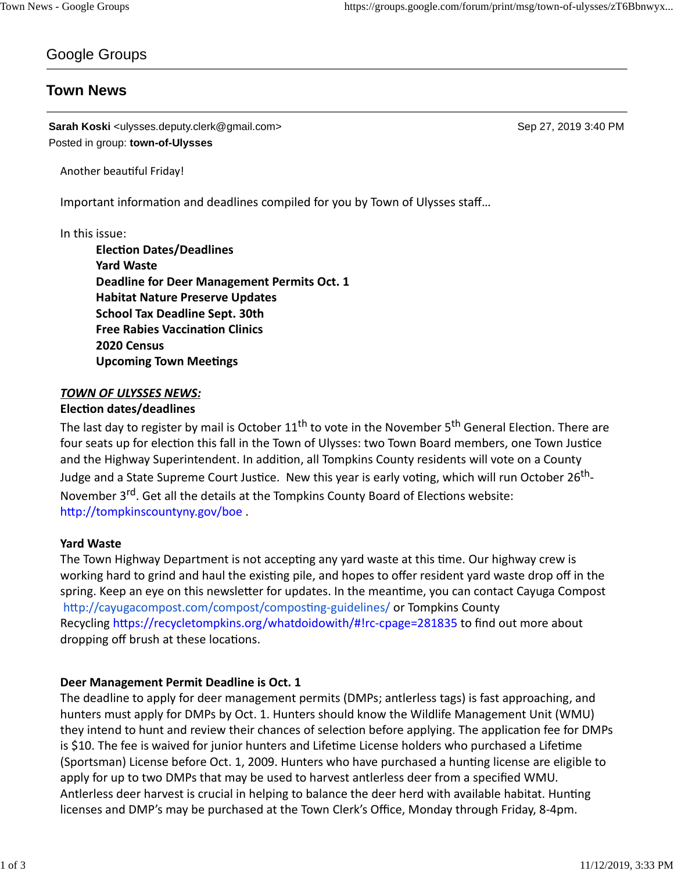# Google Groups

# **Town News**

**Sarah Koski** <ulysses.deputy.clerk@gmail.com> Sep 27, 2019 3:40 PM Posted in group: **town-of-Ulysses**

Another beautiful Friday!

Important information and deadlines compiled for you by Town of Ulysses staff...

#### In this issue:

**ElecƟon Dates/Deadlines Yard Waste Deadline for Deer Management Permits Oct. 1 Habitat Nature Preserve Updates School Tax Deadline Sept. 30th Free Rabies Vaccination Clinics 2020 Census Upcoming Town Meetings** 

# *TOWN OF ULYSSES NEWS:*

# **ElecƟon dates/deadlines**

The last day to register by mail is October 11<sup>th</sup> to vote in the November 5<sup>th</sup> General Election. There are four seats up for election this fall in the Town of Ulysses: two Town Board members, one Town Justice and the Highway Superintendent. In addition, all Tompkins County residents will vote on a County Judge and a State Supreme Court Justice. New this year is early voting, which will run October 26<sup>th</sup>-November 3<sup>rd</sup>. Get all the details at the Tompkins County Board of Elections website: http://tompkinscountyny.gov/boe.

#### **Yard Waste**

The Town Highway Department is not accepting any yard waste at this time. Our highway crew is working hard to grind and haul the existing pile, and hopes to offer resident yard waste drop off in the spring. Keep an eye on this newsletter for updates. In the meantime, you can contact Cayuga Compost http://cayugacompost.com/compost/composting-guidelines/ or Tompkins County Recycling https://recycletompkins.org/whatdoidowith/#!rc-cpage=281835 to find out more about dropping off brush at these locations.

#### **Deer Management Permit Deadline is Oct. 1**

The deadline to apply for deer management permits (DMPs; antlerless tags) is fast approaching, and hunters must apply for DMPs by Oct. 1. Hunters should know the Wildlife Management Unit (WMU) they intend to hunt and review their chances of selection before applying. The application fee for DMPs is \$10. The fee is waived for junior hunters and Lifetime License holders who purchased a Lifetime (Sportsman) License before Oct. 1, 2009. Hunters who have purchased a hunting license are eligible to apply for up to two DMPs that may be used to harvest antlerless deer from a specified WMU. Antlerless deer harvest is crucial in helping to balance the deer herd with available habitat. Hunting licenses and DMP's may be purchased at the Town Clerk's Office, Monday through Friday, 8-4pm.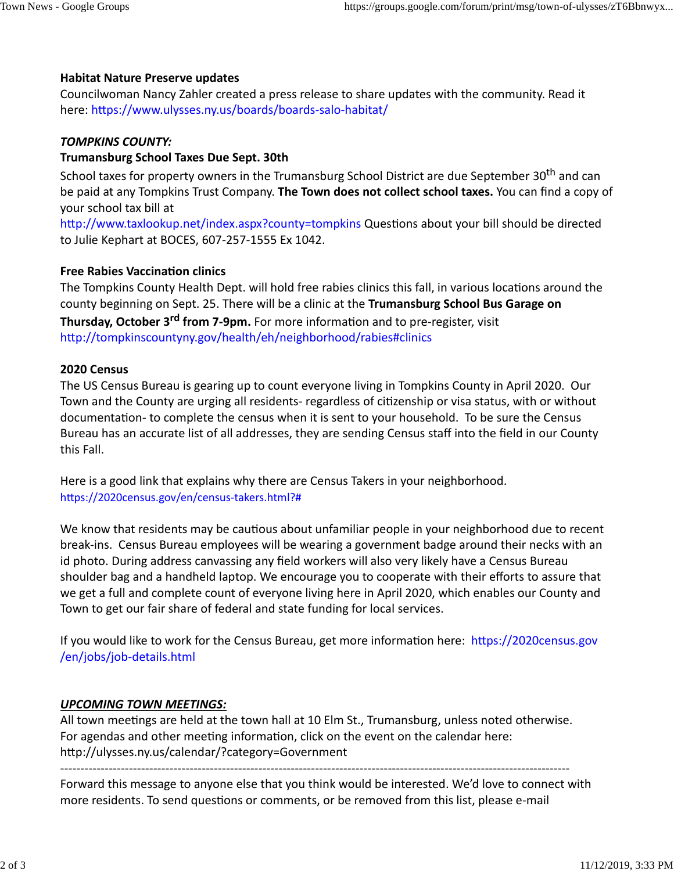# **Habitat Nature Preserve updates**

Councilwoman Nancy Zahler created a press release to share updates with the community. Read it here: https://www.ulysses.ny.us/boards/boards-salo-habitat/

### *TOMPKINS COUNTY:*

# **Trumansburg School Taxes Due Sept. 30th**

School taxes for property owners in the Trumansburg School District are due September 30<sup>th</sup> and can be paid at any Tompkins Trust Company. **The Town does not collect school taxes.** You can find a copy of your school tax bill at

http://www.taxlookup.net/index.aspx?county=tompkins Questions about your bill should be directed to Julie Kephart at BOCES, 607-257-1555 Ex 1042.

# **Free Rabies Vaccination clinics**

The Tompkins County Health Dept. will hold free rabies clinics this fall, in various locations around the county beginning on Sept. 25. There will be a clinic at the **Trumansburg School Bus Garage on Thursday, October 3<sup>rd</sup> from 7-9pm.** For more information and to pre-register, visit http://tompkinscountyny.gov/health/eh/neighborhood/rabies#clinics

#### **2020 Census**

The US Census Bureau is gearing up to count everyone living in Tompkins County in April 2020. Our Town and the County are urging all residents- regardless of citizenship or visa status, with or without documentation- to complete the census when it is sent to your household. To be sure the Census Bureau has an accurate list of all addresses, they are sending Census staff into the field in our County this Fall.

Here is a good link that explains why there are Census Takers in your neighborhood. https://2020census.gov/en/census-takers.html?#

We know that residents may be cautious about unfamiliar people in your neighborhood due to recent break-ins. Census Bureau employees will be wearing a government badge around their necks with an id photo. During address canvassing any field workers will also very likely have a Census Bureau shoulder bag and a handheld laptop. We encourage you to cooperate with their efforts to assure that we get a full and complete count of everyone living here in April 2020, which enables our County and Town to get our fair share of federal and state funding for local services.

If you would like to work for the Census Bureau, get more information here: https://2020census.gov /en/jobs/job-details.html

#### *UPCOMING TOWN MEETINGS:*

All town meetings are held at the town hall at 10 Elm St., Trumansburg, unless noted otherwise. For agendas and other meeting information, click on the event on the calendar here: http://ulysses.ny.us/calendar/?category=Government

------------------------------------------------------------------------------------------------------------------------------

Forward this message to anyone else that you think would be interested. We'd love to connect with more residents. To send questions or comments, or be removed from this list, please e-mail